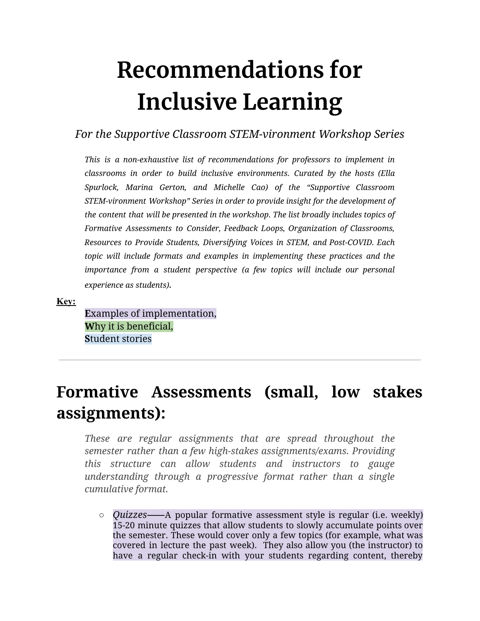# **Recommendations for Inclusive Learning**

*For the Supportive Classroom STEM-vironment Workshop Series*

*This is a non-exhaustive list of recommendations for professors to implement in classrooms in order to build inclusive environments. Curated by the hosts (Ella Spurlock, Marina Gerton, and Michelle Cao) of the "Supportive Classroom STEM-vironment Workshop" Series in order to provide insight for the development of the content that will be presented in the workshop. The list broadly includes topics of Formative Assessments to Consider, Feedback Loops, Organization of Classrooms, Resources to Provide Students, Diversifying Voices in STEM, and Post-COVID. Each topic will include formats and examples in implementing these practices and the importance from a student perspective (a few topics will include our personal experience as students).*

**Key:**

**E**xamples of implementation, **W**hy it is beneficial, **S**tudent stories

## **Formative Assessments (small, low stakes assignments):**

*These are regular assignments that are spread throughout the semester rather than a few high-stakes assignments/exams. Providing this structure can allow students and instructors to gauge understanding through a progressive format rather than a single cumulative format.*

○ *Quizzes*⸺A popular formative assessment style is regular (i.e. weekly) 15-20 minute quizzes that allow students to slowly accumulate points over the semester. These would cover only a few topics (for example, what was covered in lecture the past week). They also allow you (the instructor) to have a regular check-in with your students regarding content, thereby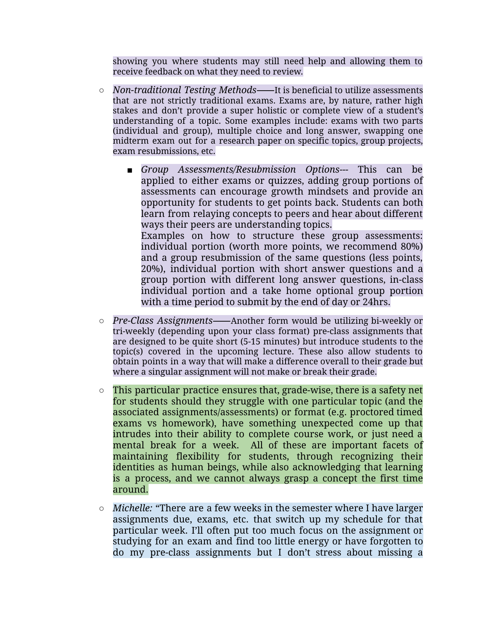showing you where students may still need help and allowing them to receive feedback on what they need to review.

- *Non-traditional Testing Methods*⸺It is beneficial to utilize assessments that are not strictly traditional exams. Exams are, by nature, rather high stakes and don't provide a super holistic or complete view of a student's understanding of a topic. Some examples include: exams with two parts (individual and group), multiple choice and long answer, swapping one midterm exam out for a research paper on specific topics, group projects, exam resubmissions, etc.
	- *■ Group Assessments/Resubmission Options---* This can be applied to either exams or quizzes, adding group portions of assessments can encourage growth mindsets and provide an opportunity for students to get points back. Students can both learn from relaying concepts to peers and hear about different ways their peers are understanding topics. Examples on how to structure these group assessments: individual portion (worth more points, we recommend 80%) and a group resubmission of the same questions (less points, 20%), individual portion with short answer questions and a group portion with different long answer questions, in-class individual portion and a take home optional group portion with a time period to submit by the end of day or 24hrs.
- *Pre-Class Assignments*⸺Another form would be utilizing bi-weekly or tri-weekly (depending upon your class format) pre-class assignments that are designed to be quite short (5-15 minutes) but introduce students to the topic(s) covered in the upcoming lecture. These also allow students to obtain points in a way that will make a difference overall to their grade but where a singular assignment will not make or break their grade.
- This particular practice ensures that, grade-wise, there is a safety net for students should they struggle with one particular topic (and the associated assignments/assessments) or format (e.g. proctored timed exams vs homework), have something unexpected come up that intrudes into their ability to complete course work, or just need a mental break for a week. All of these are important facets of maintaining flexibility for students, through recognizing their identities as human beings, while also acknowledging that learning is a process, and we cannot always grasp a concept the first time around.
- *○ Michelle:* "There are a few weeks in the semester where I have larger assignments due, exams, etc. that switch up my schedule for that particular week. I'll often put too much focus on the assignment or studying for an exam and find too little energy or have forgotten to do my pre-class assignments but I don't stress about missing a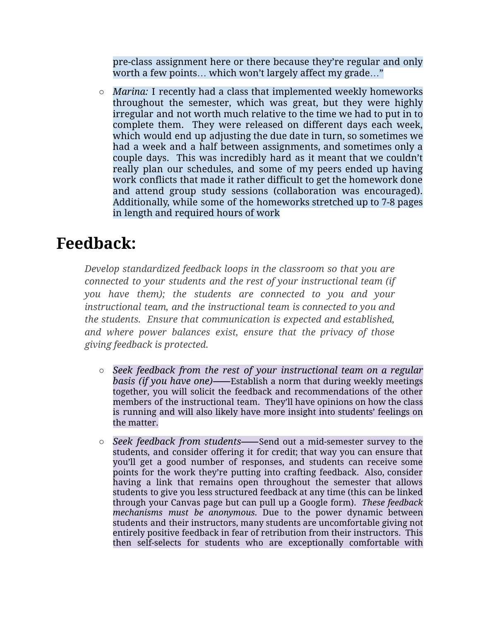pre-class assignment here or there because they're regular and only worth a few points… which won't largely affect my grade…"

*○ Marina:* I recently had a class that implemented weekly homeworks throughout the semester, which was great, but they were highly irregular and not worth much relative to the time we had to put in to complete them. They were released on different days each week, which would end up adjusting the due date in turn, so sometimes we had a week and a half between assignments, and sometimes only a couple days. This was incredibly hard as it meant that we couldn't really plan our schedules, and some of my peers ended up having work conflicts that made it rather difficult to get the homework done and attend group study sessions (collaboration was encouraged). Additionally, while some of the homeworks stretched up to 7-8 pages in length and required hours of work

# **Feedback:**

*Develop standardized feedback loops in the classroom so that you are connected to your students and the rest of your instructional team (if you have them); the students are connected to you and your instructional team, and the instructional team is connected to you and the students. Ensure that communication is expected and established, and where power balances exist, ensure that the privacy of those giving feedback is protected.*

- *Seek feedback from the rest of your instructional team on a regular basis (if you have one)*⸺Establish a norm that during weekly meetings together, you will solicit the feedback and recommendations of the other members of the instructional team. They'll have opinions on how the class is running and will also likely have more insight into students' feelings on the matter.
- *Seek feedback from students*⸺Send out a mid-semester survey to the students, and consider offering it for credit; that way you can ensure that you'll get a good number of responses, and students can receive some points for the work they're putting into crafting feedback. Also, consider having a link that remains open throughout the semester that allows students to give you less structured feedback at any time (this can be linked through your Canvas page but can pull up a Google form). *These feedback mechanisms must be anonymous.* Due to the power dynamic between students and their instructors, many students are uncomfortable giving not entirely positive feedback in fear of retribution from their instructors. This then self-selects for students who are exceptionally comfortable with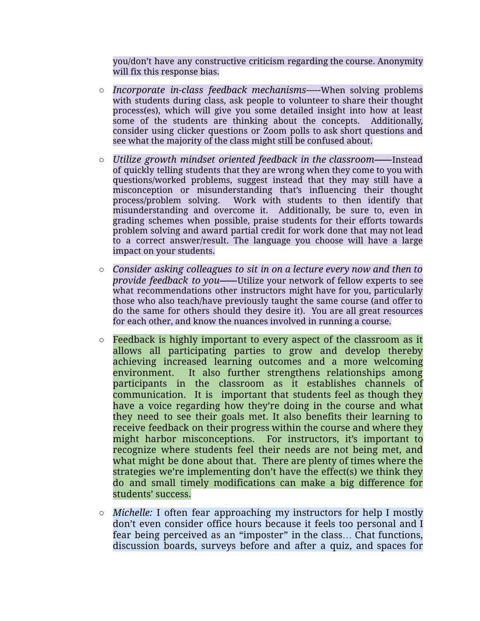you/don't have any constructive criticism regarding the course. Anonymity will fix this response bias.

- *Incorporate in-class feedback mechanisms-----*When solving problems with students during class, ask people to volunteer to share their thought process(es), which will give you some detailed insight into how at least some of the students are thinking about the concepts. Additionally, consider using clicker questions or Zoom polls to ask short questions and see what the majority of the class might still be confused about.
- *○ Utilize growth mindset oriented feedback in the classroom*⸺Instead of quickly telling students that they are wrong when they come to you with questions/worked problems, suggest instead that they may still have a misconception or misunderstanding that's influencing their thought process/problem solving. Work with students to then identify that misunderstanding and overcome it. Additionally, be sure to, even in grading schemes when possible, praise students for their efforts towards problem solving and award partial credit for work done that may not lead to a correct answer/result. The language you choose will have a large impact on your students.
- *○ Consider asking colleagues to sit in on a lecture every now and then to provide feedback to you*⸺Utilize your network of fellow experts to see what recommendations other instructors might have for you, particularly those who also teach/have previously taught the same course (and offer to do the same for others should they desire it). You are all great resources for each other, and know the nuances involved in running a course.
- Feedback is highly important to every aspect of the classroom as it allows all participating parties to grow and develop thereby achieving increased learning outcomes and a more welcoming environment. It also further strengthens relationships among participants in the classroom as it establishes channels of communication. It is important that students feel as though they have a voice regarding how they're doing in the course and what they need to see their goals met. It also benefits their learning to receive feedback on their progress within the course and where they might harbor misconceptions. For instructors, it's important to recognize where students feel their needs are not being met, and what might be done about that. There are plenty of times where the strategies we're implementing don't have the effect(s) we think they do and small timely modifications can make a big difference for students' success.
- *○ Michelle:* I often fear approaching my instructors for help I mostly don't even consider office hours because it feels too personal and I fear being perceived as an "imposter" in the class… Chat functions, discussion boards, surveys before and after a quiz, and spaces for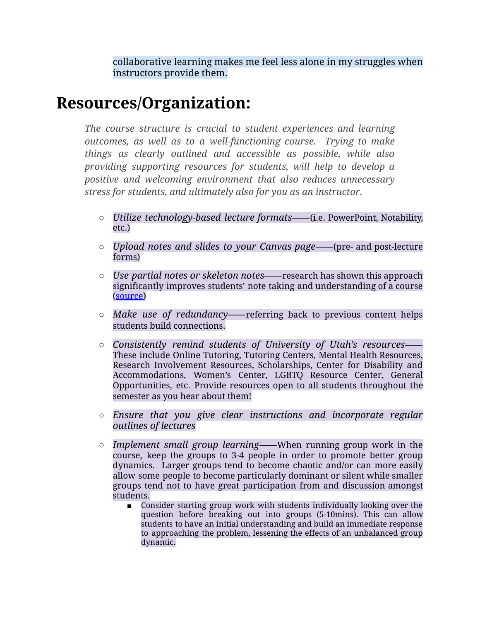collaborative learning makes me feel less alone in my struggles when instructors provide them.

### **Resources/Organization:**

*The course structure is crucial to student experiences and learning outcomes, as well as to a well-functioning course. Trying to make things as clearly outlined and accessible as possible, while also providing supporting resources for students, will help to develop a positive and welcoming environment that also reduces unnecessary stress for students, and ultimately also for you as an instructor.*

- *Utilize technology-based lecture formats*⸺(i.e. PowerPoint, Notability, etc.)
- *Upload notes and slides to your Canvas page*⸺(pre- and post-lecture forms)
- *Use partial notes or skeleton notes*⸺research has shown this approach significantly improves students' note taking and understanding of a course ([source\)](https://drive.google.com/file/d/1LEjVFeiGGdD-jz6E9Ey3udEZJGpaejEF/view?usp=sharing)
- *Make use of redundancy*⸺referring back to previous content helps students build connections.
- *Consistently remind students of University of Utah's resources*⸺ These include Online Tutoring, Tutoring Centers, Mental Health Resources, Research Involvement Resources, Scholarships, Center for Disability and Accommodations, Women's Center, LGBTQ Resource Center, General Opportunities, etc. Provide resources open to all students throughout the semester as you hear about them!
- *○ Ensure that you give clear instructions and incorporate regular outlines of lectures*
- *Implement small group learning*⸺When running group work in the course, keep the groups to 3-4 people in order to promote better group dynamics. Larger groups tend to become chaotic and/or can more easily allow some people to become particularly dominant or silent while smaller groups tend not to have great participation from and discussion amongst students.
	- Consider starting group work with students individually looking over the question before breaking out into groups (5-10mins). This can allow students to have an initial understanding and build an immediate response to approaching the problem, lessening the effects of an unbalanced group dynamic.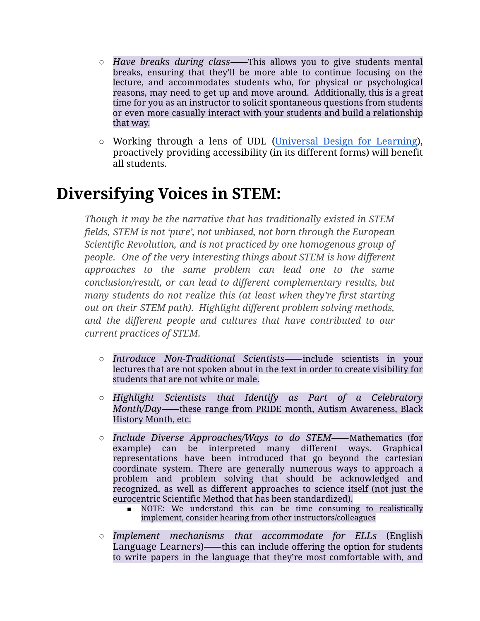- *○ Have breaks during class*⸺This allows you to give students mental breaks, ensuring that they'll be more able to continue focusing on the lecture, and accommodates students who, for physical or psychological reasons, may need to get up and move around. Additionally, this is a great time for you as an instructor to solicit spontaneous questions from students or even more casually interact with your students and build a relationship that way.
- Working through a lens of UDL [\(Universal](https://drive.google.com/file/d/11oW77YB-3QwNuP5PhqNsLLqtORQufL3g/view?usp=sharing) Design for Learning), proactively providing accessibility (in its different forms) will benefit all students.

### **Diversifying Voices in STEM:**

*Though it may be the narrative that has traditionally existed in STEM fields, STEM is not 'pure', not unbiased, not born through the European Scientific Revolution, and is not practiced by one homogenous group of people. One of the very interesting things about STEM is how different approaches to the same problem can lead one to the same conclusion/result, or can lead to different complementary results, but many students do not realize this (at least when they're first starting out on their STEM path). Highlight different problem solving methods, and the different people and cultures that have contributed to our current practices of STEM.*

- *○ Introduce Non-Traditional Scientists*⸺include scientists in your lectures that are not spoken about in the text in order to create visibility for students that are not white or male.
- *○ Highlight Scientists that Identify as Part of a Celebratory Month/Day*⸺these range from PRIDE month, Autism Awareness, Black History Month, etc.
- *○ Include Diverse Approaches/Ways to do STEM*⸺Mathematics (for example) can be interpreted many different ways. Graphical representations have been introduced that go beyond the cartesian coordinate system. There are generally numerous ways to approach a problem and problem solving that should be acknowledged and recognized, as well as different approaches to science itself (not just the eurocentric Scientific Method that has been standardized).
	- *■* NOTE: We understand this can be time consuming to realistically implement, consider hearing from other instructors/colleagues
- *○ Implement mechanisms that accommodate for ELLs* (English Language Learners)——this can include offering the option for students to write papers in the language that they're most comfortable with, and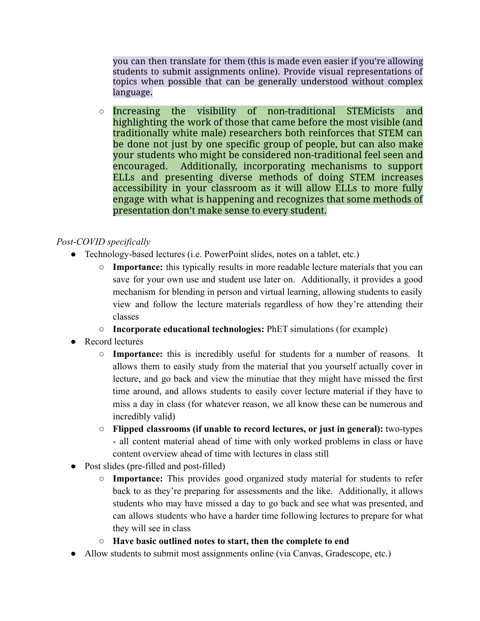you can then translate for them (this is made even easier if you're allowing students to submit assignments online). Provide visual representations of topics when possible that can be generally understood without complex language.

*○* Increasing the visibility of non-traditional STEMicists and highlighting the work of those that came before the most visible (and traditionally white male) researchers both reinforces that STEM can be done not just by one specific group of people, but can also make your students who might be considered non-traditional feel seen and encouraged. Additionally, incorporating mechanisms to support ELLs and presenting diverse methods of doing STEM increases accessibility in your classroom as it will allow ELLs to more fully engage with what is happening and recognizes that some methods of presentation don't make sense to every student.

#### *Post-COVID specifically*

- Technology-based lectures (i.e. PowerPoint slides, notes on a tablet, etc.)
	- **○ Importance:** this typically results in more readable lecture materials that you can save for your own use and student use later on. Additionally, it provides a good mechanism for blending in person and virtual learning, allowing students to easily view and follow the lecture materials regardless of how they're attending their classes
	- **○ Incorporate educational technologies:** PhET simulations (for example)
- Record lectures
	- **○ Importance:** this is incredibly useful for students for a number of reasons. It allows them to easily study from the material that you yourself actually cover in lecture, and go back and view the minutiae that they might have missed the first time around, and allows students to easily cover lecture material if they have to miss a day in class (for whatever reason, we all know these can be numerous and incredibly valid)
	- **○ Flipped classrooms (if unable to record lectures, or just in general):** two-types - all content material ahead of time with only worked problems in class or have content overview ahead of time with lectures in class still
- Post slides (pre-filled and post-filled)
	- **○ Importance:** This provides good organized study material for students to refer back to as they're preparing for assessments and the like. Additionally, it allows students who may have missed a day to go back and see what was presented, and can allows students who have a harder time following lectures to prepare for what they will see in class
	- **○ Have basic outlined notes to start, then the complete to end**
- Allow students to submit most assignments online (via Canvas, Gradescope, etc.)